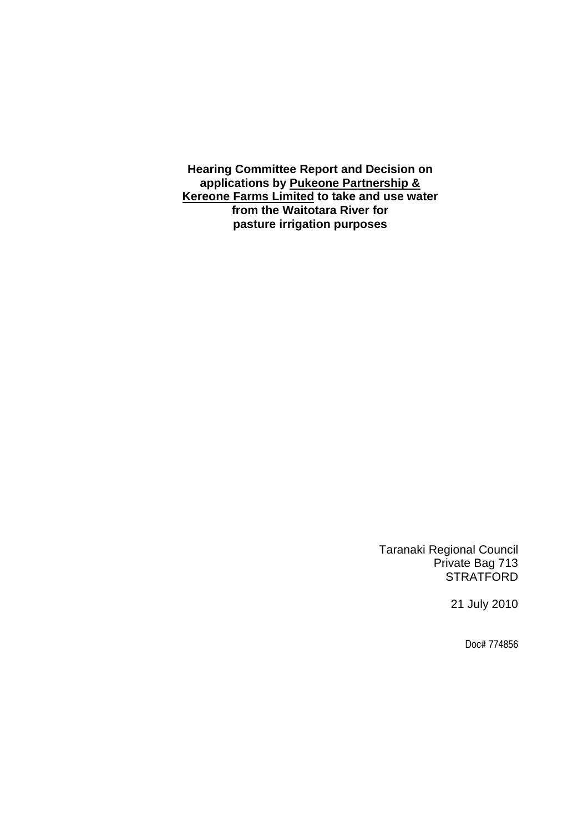**Hearing Committee Report and Decision on applications by Pukeone Partnership & Kereone Farms Limited to take and use water from the Waitotara River for pasture irrigation purposes** 

> Taranaki Regional Council Private Bag 713 **STRATFORD**

> > 21 July 2010

Doc# 774856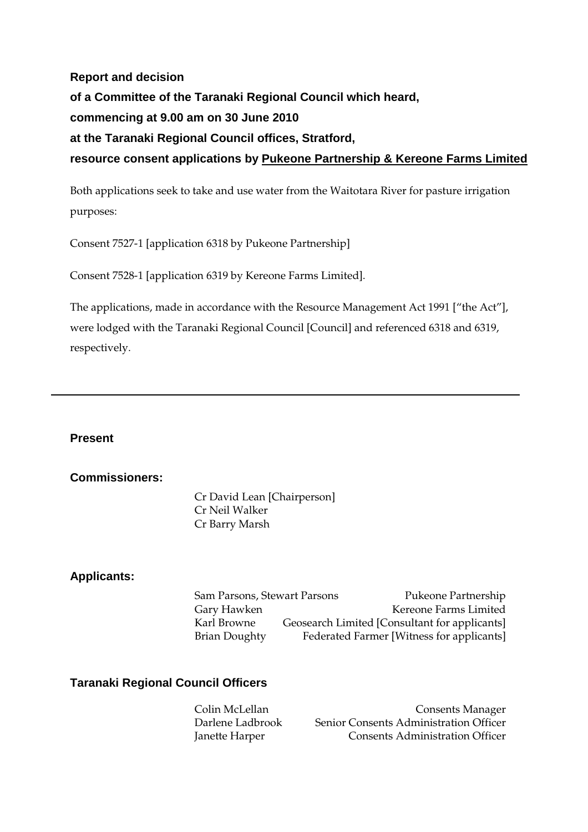**Report and decision of a Committee of the Taranaki Regional Council which heard, commencing at 9.00 am on 30 June 2010 at the Taranaki Regional Council offices, Stratford, resource consent applications by Pukeone Partnership & Kereone Farms Limited**

Both applications seek to take and use water from the Waitotara River for pasture irrigation purposes:

Consent 7527-1 [application 6318 by Pukeone Partnership]

Consent 7528-1 [application 6319 by Kereone Farms Limited].

The applications, made in accordance with the Resource Management Act 1991 ["the Act"], were lodged with the Taranaki Regional Council [Council] and referenced 6318 and 6319, respectively.

**Present** 

#### **Commissioners:**

Cr David Lean [Chairperson] Cr Neil Walker Cr Barry Marsh

#### **Applicants:**

Sam Parsons, Stewart Parsons Pukeone Partnership Gary Hawken Kereone Farms Limited Karl Browne Geosearch Limited [Consultant for applicants] Brian Doughty Federated Farmer [Witness for applicants]

#### **Taranaki Regional Council Officers**

Colin McLellan Consents Manager Darlene Ladbrook Senior Consents Administration Officer Janette Harper Consents Administration Officer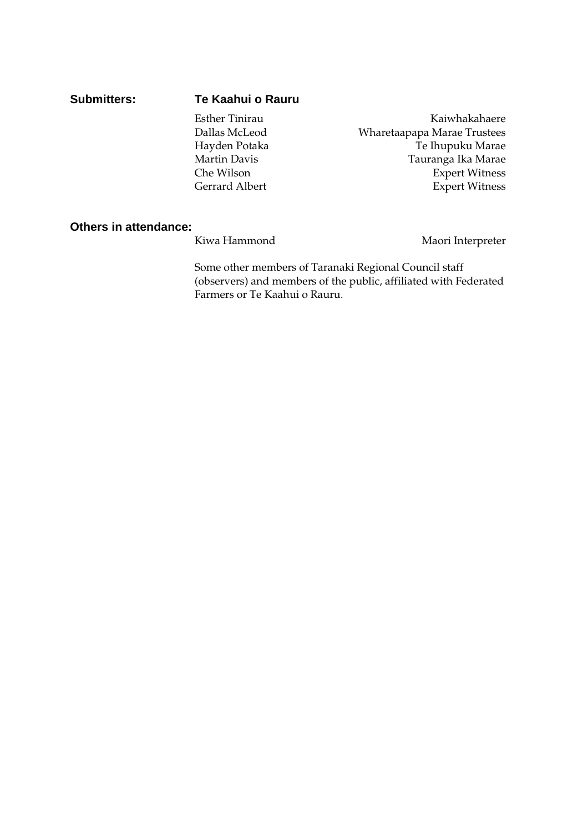#### **Submitters: Te Kaahui o Rauru**

Esther Tinirau **Kaiwhakahaere** Dallas McLeod Wharetaapapa Marae Trustees Hayden Potaka Te Ihupuku Marae Martin Davis Tauranga Ika Marae Che Wilson Expert Witness<br>
Gerrard Albert Expert Witness Expert Witness

#### **Others in attendance:**

Kiwa Hammond Maori Interpreter

Some other members of Taranaki Regional Council staff (observers) and members of the public, affiliated with Federated Farmers or Te Kaahui o Rauru.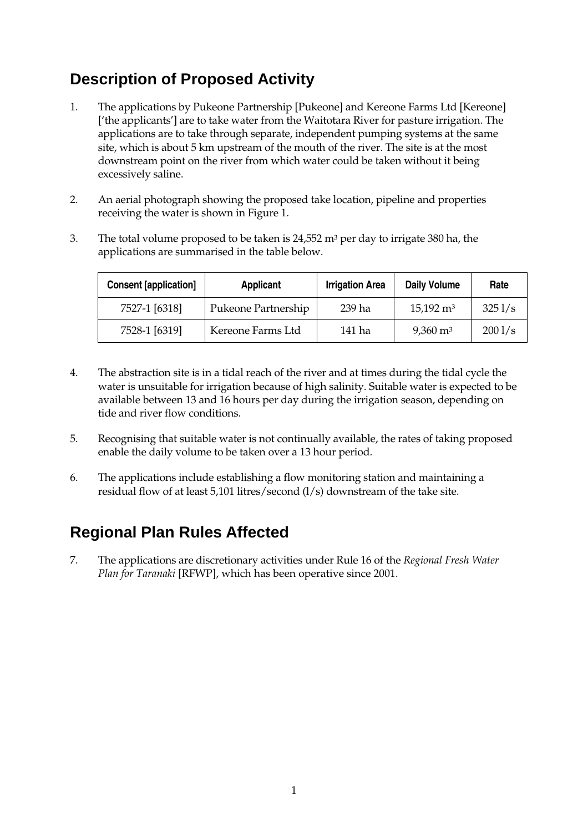# **Description of Proposed Activity**

- 1. The applications by Pukeone Partnership [Pukeone] and Kereone Farms Ltd [Kereone] ['the applicants'] are to take water from the Waitotara River for pasture irrigation. The applications are to take through separate, independent pumping systems at the same site, which is about 5 km upstream of the mouth of the river. The site is at the most downstream point on the river from which water could be taken without it being excessively saline.
- 2. An aerial photograph showing the proposed take location, pipeline and properties receiving the water is shown in Figure 1.
- 3. The total volume proposed to be taken is  $24,552$  m<sup>3</sup> per day to irrigate 380 ha, the applications are summarised in the table below.

| <b>Consent [application]</b> | <b>Applicant</b>    | <b>Irrigation Area</b> | <b>Daily Volume</b>  | Rate   |
|------------------------------|---------------------|------------------------|----------------------|--------|
| 7527-1 [6318]                | Pukeone Partnership | 239 ha                 | $15,192 \text{ m}^3$ | 3251/s |
| 7528-1 [6319]                | Kereone Farms Ltd   | 141 ha                 | $9,360 \text{ m}^3$  | 2001/s |

- 4. The abstraction site is in a tidal reach of the river and at times during the tidal cycle the water is unsuitable for irrigation because of high salinity. Suitable water is expected to be available between 13 and 16 hours per day during the irrigation season, depending on tide and river flow conditions.
- 5. Recognising that suitable water is not continually available, the rates of taking proposed enable the daily volume to be taken over a 13 hour period.
- 6. The applications include establishing a flow monitoring station and maintaining a residual flow of at least 5,101 litres/second (l/s) downstream of the take site.

# **Regional Plan Rules Affected**

7. The applications are discretionary activities under Rule 16 of the *Regional Fresh Water Plan for Taranaki* [RFWP], which has been operative since 2001.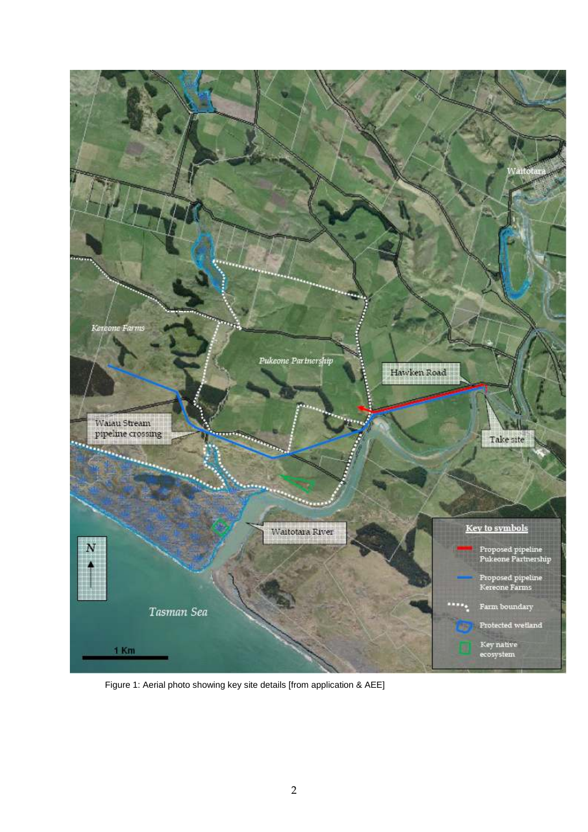

Figure 1: Aerial photo showing key site details [from application & AEE]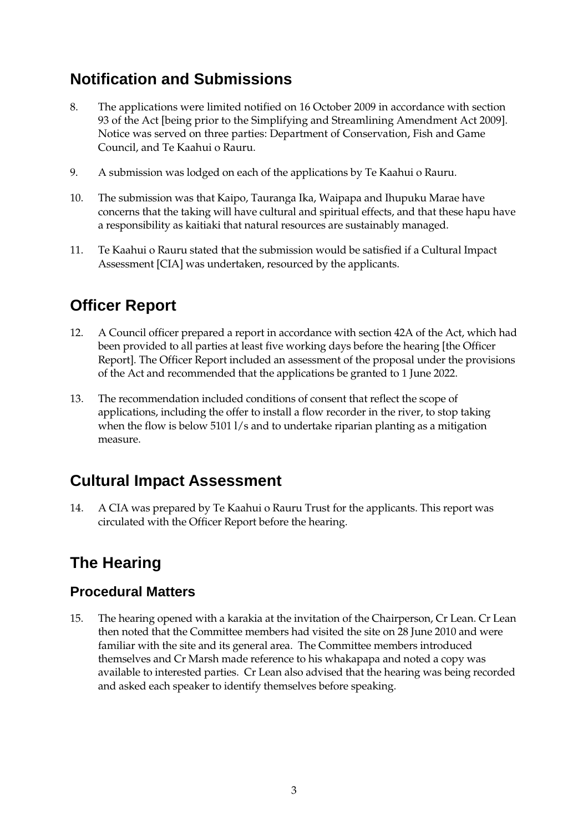# **Notification and Submissions**

- 8. The applications were limited notified on 16 October 2009 in accordance with section 93 of the Act [being prior to the Simplifying and Streamlining Amendment Act 2009]. Notice was served on three parties: Department of Conservation, Fish and Game Council, and Te Kaahui o Rauru.
- 9. A submission was lodged on each of the applications by Te Kaahui o Rauru.
- 10. The submission was that Kaipo, Tauranga Ika, Waipapa and Ihupuku Marae have concerns that the taking will have cultural and spiritual effects, and that these hapu have a responsibility as kaitiaki that natural resources are sustainably managed.
- 11. Te Kaahui o Rauru stated that the submission would be satisfied if a Cultural Impact Assessment [CIA] was undertaken, resourced by the applicants.

# **Officer Report**

- 12. A Council officer prepared a report in accordance with section 42A of the Act, which had been provided to all parties at least five working days before the hearing [the Officer Report]. The Officer Report included an assessment of the proposal under the provisions of the Act and recommended that the applications be granted to 1 June 2022.
- 13. The recommendation included conditions of consent that reflect the scope of applications, including the offer to install a flow recorder in the river, to stop taking when the flow is below 5101 l/s and to undertake riparian planting as a mitigation measure.

# **Cultural Impact Assessment**

14. A CIA was prepared by Te Kaahui o Rauru Trust for the applicants. This report was circulated with the Officer Report before the hearing.

# **The Hearing**

### **Procedural Matters**

15. The hearing opened with a karakia at the invitation of the Chairperson, Cr Lean. Cr Lean then noted that the Committee members had visited the site on 28 June 2010 and were familiar with the site and its general area. The Committee members introduced themselves and Cr Marsh made reference to his whakapapa and noted a copy was available to interested parties. Cr Lean also advised that the hearing was being recorded and asked each speaker to identify themselves before speaking.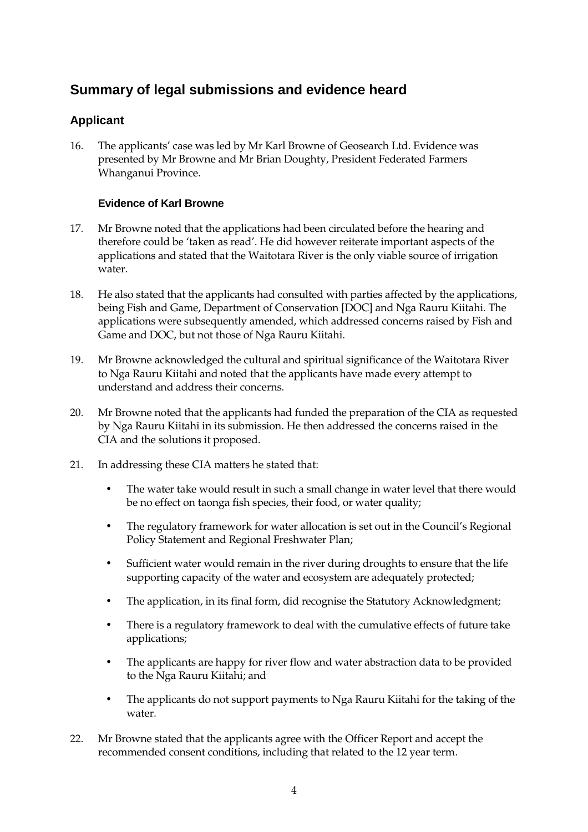### **Summary of legal submissions and evidence heard**

### **Applicant**

16. The applicants' case was led by Mr Karl Browne of Geosearch Ltd. Evidence was presented by Mr Browne and Mr Brian Doughty, President Federated Farmers Whanganui Province.

#### **Evidence of Karl Browne**

- 17. Mr Browne noted that the applications had been circulated before the hearing and therefore could be 'taken as read'. He did however reiterate important aspects of the applications and stated that the Waitotara River is the only viable source of irrigation water.
- 18. He also stated that the applicants had consulted with parties affected by the applications, being Fish and Game, Department of Conservation [DOC] and Nga Rauru Kiitahi. The applications were subsequently amended, which addressed concerns raised by Fish and Game and DOC, but not those of Nga Rauru Kiitahi.
- 19. Mr Browne acknowledged the cultural and spiritual significance of the Waitotara River to Nga Rauru Kiitahi and noted that the applicants have made every attempt to understand and address their concerns.
- 20. Mr Browne noted that the applicants had funded the preparation of the CIA as requested by Nga Rauru Kiitahi in its submission. He then addressed the concerns raised in the CIA and the solutions it proposed.
- 21. In addressing these CIA matters he stated that:
	- The water take would result in such a small change in water level that there would be no effect on taonga fish species, their food, or water quality;
	- The regulatory framework for water allocation is set out in the Council's Regional Policy Statement and Regional Freshwater Plan;
	- Sufficient water would remain in the river during droughts to ensure that the life supporting capacity of the water and ecosystem are adequately protected;
	- The application, in its final form, did recognise the Statutory Acknowledgment;
	- There is a regulatory framework to deal with the cumulative effects of future take applications;
	- The applicants are happy for river flow and water abstraction data to be provided to the Nga Rauru Kiitahi; and
	- The applicants do not support payments to Nga Rauru Kiitahi for the taking of the water.
- 22. Mr Browne stated that the applicants agree with the Officer Report and accept the recommended consent conditions, including that related to the 12 year term.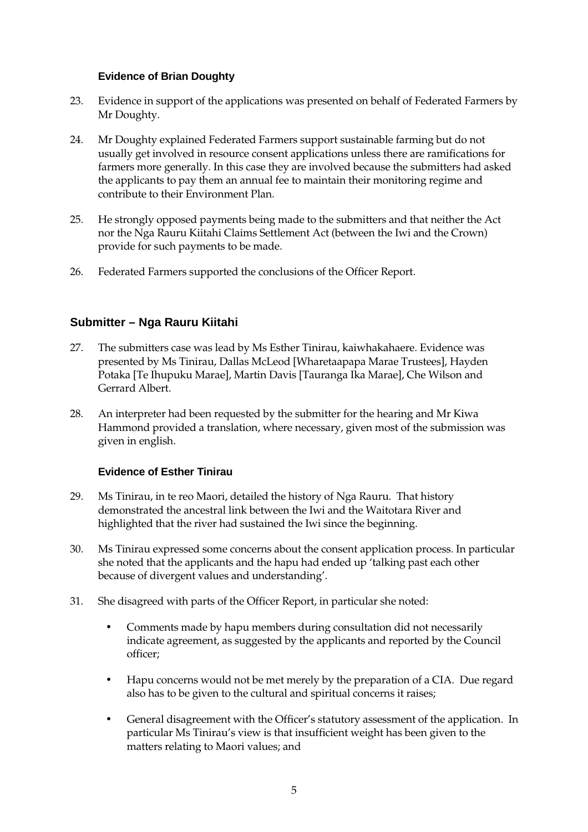#### **Evidence of Brian Doughty**

- 23. Evidence in support of the applications was presented on behalf of Federated Farmers by Mr Doughty.
- 24. Mr Doughty explained Federated Farmers support sustainable farming but do not usually get involved in resource consent applications unless there are ramifications for farmers more generally. In this case they are involved because the submitters had asked the applicants to pay them an annual fee to maintain their monitoring regime and contribute to their Environment Plan.
- 25. He strongly opposed payments being made to the submitters and that neither the Act nor the Nga Rauru Kiitahi Claims Settlement Act (between the Iwi and the Crown) provide for such payments to be made.
- 26. Federated Farmers supported the conclusions of the Officer Report.

### **Submitter – Nga Rauru Kiitahi**

- 27. The submitters case was lead by Ms Esther Tinirau, kaiwhakahaere. Evidence was presented by Ms Tinirau, Dallas McLeod [Wharetaapapa Marae Trustees], Hayden Potaka [Te Ihupuku Marae], Martin Davis [Tauranga Ika Marae], Che Wilson and Gerrard Albert.
- 28. An interpreter had been requested by the submitter for the hearing and Mr Kiwa Hammond provided a translation, where necessary, given most of the submission was given in english.

#### **Evidence of Esther Tinirau**

- 29. Ms Tinirau, in te reo Maori, detailed the history of Nga Rauru. That history demonstrated the ancestral link between the Iwi and the Waitotara River and highlighted that the river had sustained the Iwi since the beginning.
- 30. Ms Tinirau expressed some concerns about the consent application process. In particular she noted that the applicants and the hapu had ended up 'talking past each other because of divergent values and understanding'.
- 31. She disagreed with parts of the Officer Report, in particular she noted:
	- Comments made by hapu members during consultation did not necessarily indicate agreement, as suggested by the applicants and reported by the Council officer;
	- Hapu concerns would not be met merely by the preparation of a CIA. Due regard also has to be given to the cultural and spiritual concerns it raises;
	- General disagreement with the Officer's statutory assessment of the application. In particular Ms Tinirau's view is that insufficient weight has been given to the matters relating to Maori values; and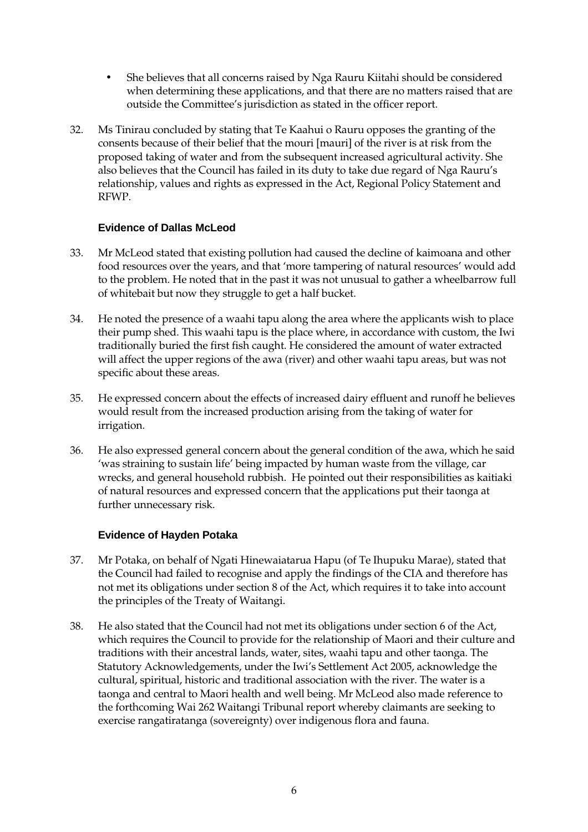- She believes that all concerns raised by Nga Rauru Kiitahi should be considered when determining these applications, and that there are no matters raised that are outside the Committee's jurisdiction as stated in the officer report.
- 32. Ms Tinirau concluded by stating that Te Kaahui o Rauru opposes the granting of the consents because of their belief that the mouri [mauri] of the river is at risk from the proposed taking of water and from the subsequent increased agricultural activity. She also believes that the Council has failed in its duty to take due regard of Nga Rauru's relationship, values and rights as expressed in the Act, Regional Policy Statement and RFWP.

#### **Evidence of Dallas McLeod**

- 33. Mr McLeod stated that existing pollution had caused the decline of kaimoana and other food resources over the years, and that 'more tampering of natural resources' would add to the problem. He noted that in the past it was not unusual to gather a wheelbarrow full of whitebait but now they struggle to get a half bucket.
- 34. He noted the presence of a waahi tapu along the area where the applicants wish to place their pump shed. This waahi tapu is the place where, in accordance with custom, the Iwi traditionally buried the first fish caught. He considered the amount of water extracted will affect the upper regions of the awa (river) and other waahi tapu areas, but was not specific about these areas.
- 35. He expressed concern about the effects of increased dairy effluent and runoff he believes would result from the increased production arising from the taking of water for irrigation.
- 36. He also expressed general concern about the general condition of the awa, which he said 'was straining to sustain life' being impacted by human waste from the village, car wrecks, and general household rubbish. He pointed out their responsibilities as kaitiaki of natural resources and expressed concern that the applications put their taonga at further unnecessary risk.

#### **Evidence of Hayden Potaka**

- 37. Mr Potaka, on behalf of Ngati Hinewaiatarua Hapu (of Te Ihupuku Marae), stated that the Council had failed to recognise and apply the findings of the CIA and therefore has not met its obligations under section 8 of the Act, which requires it to take into account the principles of the Treaty of Waitangi.
- 38. He also stated that the Council had not met its obligations under section 6 of the Act, which requires the Council to provide for the relationship of Maori and their culture and traditions with their ancestral lands, water, sites, waahi tapu and other taonga. The Statutory Acknowledgements, under the Iwi's Settlement Act 2005, acknowledge the cultural, spiritual, historic and traditional association with the river. The water is a taonga and central to Maori health and well being. Mr McLeod also made reference to the forthcoming Wai 262 Waitangi Tribunal report whereby claimants are seeking to exercise rangatiratanga (sovereignty) over indigenous flora and fauna.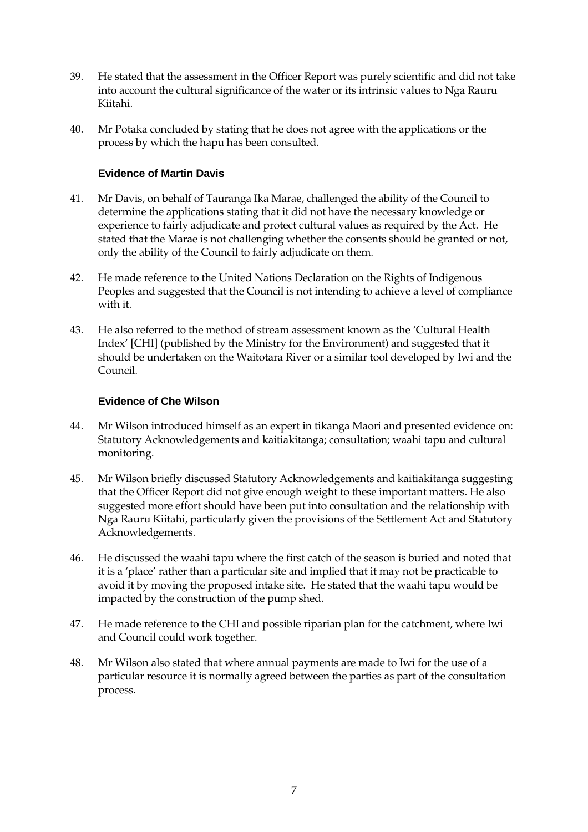- 39. He stated that the assessment in the Officer Report was purely scientific and did not take into account the cultural significance of the water or its intrinsic values to Nga Rauru Kiitahi.
- 40. Mr Potaka concluded by stating that he does not agree with the applications or the process by which the hapu has been consulted.

#### **Evidence of Martin Davis**

- 41. Mr Davis, on behalf of Tauranga Ika Marae, challenged the ability of the Council to determine the applications stating that it did not have the necessary knowledge or experience to fairly adjudicate and protect cultural values as required by the Act. He stated that the Marae is not challenging whether the consents should be granted or not, only the ability of the Council to fairly adjudicate on them.
- 42. He made reference to the United Nations Declaration on the Rights of Indigenous Peoples and suggested that the Council is not intending to achieve a level of compliance with it.
- 43. He also referred to the method of stream assessment known as the 'Cultural Health Index' [CHI] (published by the Ministry for the Environment) and suggested that it should be undertaken on the Waitotara River or a similar tool developed by Iwi and the Council.

#### **Evidence of Che Wilson**

- 44. Mr Wilson introduced himself as an expert in tikanga Maori and presented evidence on: Statutory Acknowledgements and kaitiakitanga; consultation; waahi tapu and cultural monitoring.
- 45. Mr Wilson briefly discussed Statutory Acknowledgements and kaitiakitanga suggesting that the Officer Report did not give enough weight to these important matters. He also suggested more effort should have been put into consultation and the relationship with Nga Rauru Kiitahi, particularly given the provisions of the Settlement Act and Statutory Acknowledgements.
- 46. He discussed the waahi tapu where the first catch of the season is buried and noted that it is a 'place' rather than a particular site and implied that it may not be practicable to avoid it by moving the proposed intake site. He stated that the waahi tapu would be impacted by the construction of the pump shed.
- 47. He made reference to the CHI and possible riparian plan for the catchment, where Iwi and Council could work together.
- 48. Mr Wilson also stated that where annual payments are made to Iwi for the use of a particular resource it is normally agreed between the parties as part of the consultation process.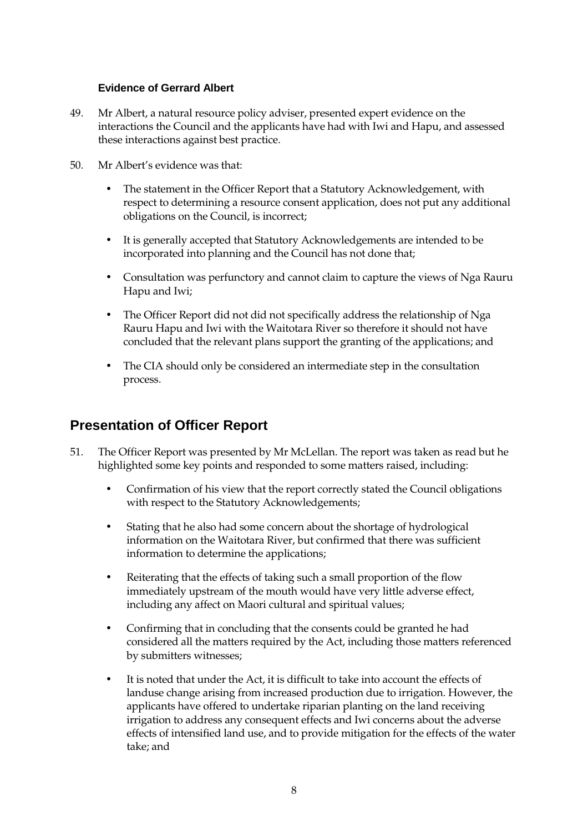#### **Evidence of Gerrard Albert**

- 49. Mr Albert, a natural resource policy adviser, presented expert evidence on the interactions the Council and the applicants have had with Iwi and Hapu, and assessed these interactions against best practice.
- 50. Mr Albert's evidence was that:
	- The statement in the Officer Report that a Statutory Acknowledgement, with respect to determining a resource consent application, does not put any additional obligations on the Council, is incorrect;
	- It is generally accepted that Statutory Acknowledgements are intended to be incorporated into planning and the Council has not done that;
	- Consultation was perfunctory and cannot claim to capture the views of Nga Rauru Hapu and Iwi;
	- The Officer Report did not did not specifically address the relationship of Nga Rauru Hapu and Iwi with the Waitotara River so therefore it should not have concluded that the relevant plans support the granting of the applications; and
	- The CIA should only be considered an intermediate step in the consultation process.

### **Presentation of Officer Report**

- 51. The Officer Report was presented by Mr McLellan. The report was taken as read but he highlighted some key points and responded to some matters raised, including:
	- Confirmation of his view that the report correctly stated the Council obligations with respect to the Statutory Acknowledgements;
	- Stating that he also had some concern about the shortage of hydrological information on the Waitotara River, but confirmed that there was sufficient information to determine the applications;
	- Reiterating that the effects of taking such a small proportion of the flow immediately upstream of the mouth would have very little adverse effect, including any affect on Maori cultural and spiritual values;
	- Confirming that in concluding that the consents could be granted he had considered all the matters required by the Act, including those matters referenced by submitters witnesses;
	- It is noted that under the Act, it is difficult to take into account the effects of landuse change arising from increased production due to irrigation. However, the applicants have offered to undertake riparian planting on the land receiving irrigation to address any consequent effects and Iwi concerns about the adverse effects of intensified land use, and to provide mitigation for the effects of the water take; and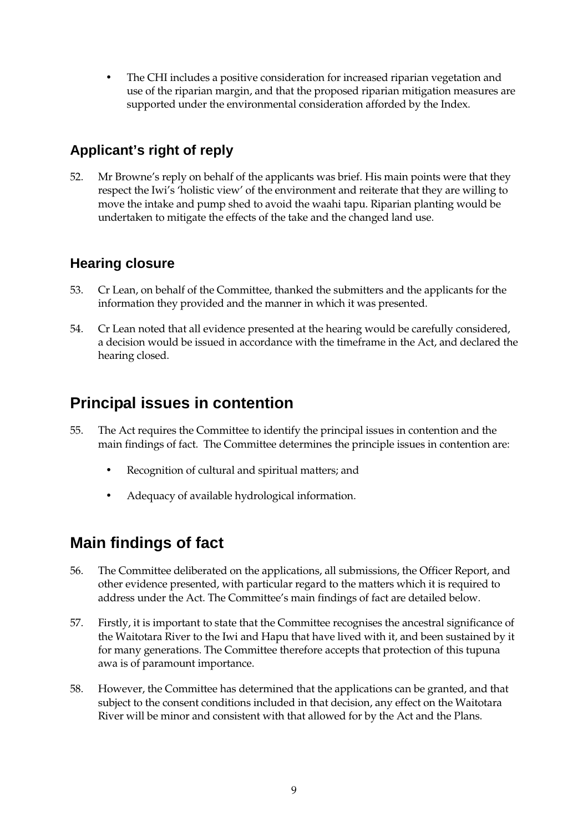• The CHI includes a positive consideration for increased riparian vegetation and use of the riparian margin, and that the proposed riparian mitigation measures are supported under the environmental consideration afforded by the Index.

## **Applicant's right of reply**

52. Mr Browne's reply on behalf of the applicants was brief. His main points were that they respect the Iwi's 'holistic view' of the environment and reiterate that they are willing to move the intake and pump shed to avoid the waahi tapu. Riparian planting would be undertaken to mitigate the effects of the take and the changed land use.

### **Hearing closure**

- 53. Cr Lean, on behalf of the Committee, thanked the submitters and the applicants for the information they provided and the manner in which it was presented.
- 54. Cr Lean noted that all evidence presented at the hearing would be carefully considered, a decision would be issued in accordance with the timeframe in the Act, and declared the hearing closed.

# **Principal issues in contention**

- 55. The Act requires the Committee to identify the principal issues in contention and the main findings of fact. The Committee determines the principle issues in contention are:
	- Recognition of cultural and spiritual matters; and
	- Adequacy of available hydrological information.

# **Main findings of fact**

- 56. The Committee deliberated on the applications, all submissions, the Officer Report, and other evidence presented, with particular regard to the matters which it is required to address under the Act. The Committee's main findings of fact are detailed below.
- 57. Firstly, it is important to state that the Committee recognises the ancestral significance of the Waitotara River to the Iwi and Hapu that have lived with it, and been sustained by it for many generations. The Committee therefore accepts that protection of this tupuna awa is of paramount importance.
- 58. However, the Committee has determined that the applications can be granted, and that subject to the consent conditions included in that decision, any effect on the Waitotara River will be minor and consistent with that allowed for by the Act and the Plans.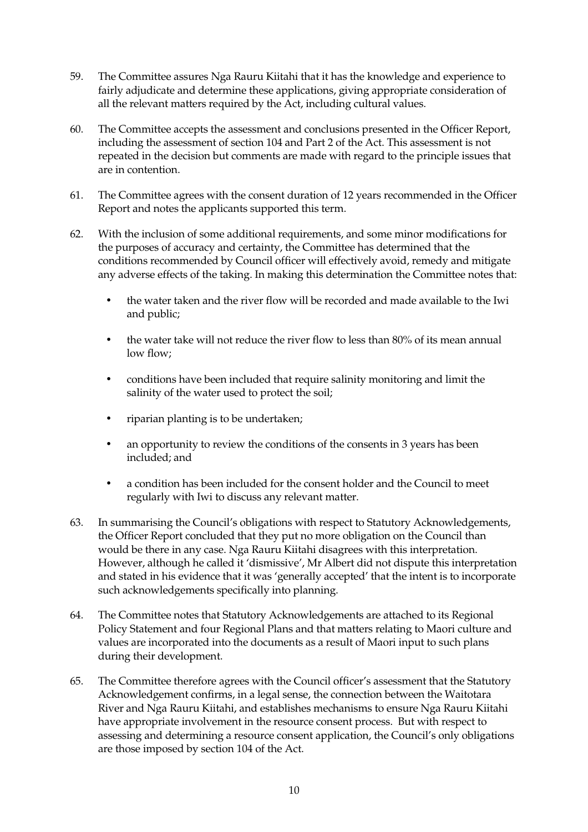- 59. The Committee assures Nga Rauru Kiitahi that it has the knowledge and experience to fairly adjudicate and determine these applications, giving appropriate consideration of all the relevant matters required by the Act, including cultural values.
- 60. The Committee accepts the assessment and conclusions presented in the Officer Report, including the assessment of section 104 and Part 2 of the Act. This assessment is not repeated in the decision but comments are made with regard to the principle issues that are in contention.
- 61. The Committee agrees with the consent duration of 12 years recommended in the Officer Report and notes the applicants supported this term.
- 62. With the inclusion of some additional requirements, and some minor modifications for the purposes of accuracy and certainty, the Committee has determined that the conditions recommended by Council officer will effectively avoid, remedy and mitigate any adverse effects of the taking. In making this determination the Committee notes that:
	- the water taken and the river flow will be recorded and made available to the Iwi and public;
	- the water take will not reduce the river flow to less than 80% of its mean annual low flow;
	- conditions have been included that require salinity monitoring and limit the salinity of the water used to protect the soil;
	- riparian planting is to be undertaken;
	- an opportunity to review the conditions of the consents in 3 years has been included; and
	- a condition has been included for the consent holder and the Council to meet regularly with Iwi to discuss any relevant matter.
- 63. In summarising the Council's obligations with respect to Statutory Acknowledgements, the Officer Report concluded that they put no more obligation on the Council than would be there in any case. Nga Rauru Kiitahi disagrees with this interpretation. However, although he called it 'dismissive', Mr Albert did not dispute this interpretation and stated in his evidence that it was 'generally accepted' that the intent is to incorporate such acknowledgements specifically into planning.
- 64. The Committee notes that Statutory Acknowledgements are attached to its Regional Policy Statement and four Regional Plans and that matters relating to Maori culture and values are incorporated into the documents as a result of Maori input to such plans during their development.
- 65. The Committee therefore agrees with the Council officer's assessment that the Statutory Acknowledgement confirms, in a legal sense, the connection between the Waitotara River and Nga Rauru Kiitahi, and establishes mechanisms to ensure Nga Rauru Kiitahi have appropriate involvement in the resource consent process. But with respect to assessing and determining a resource consent application, the Council's only obligations are those imposed by section 104 of the Act.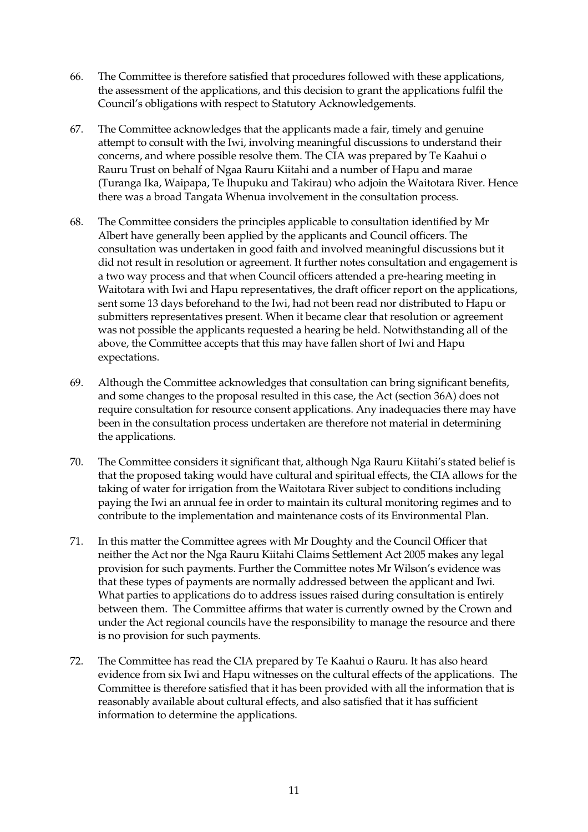- 66. The Committee is therefore satisfied that procedures followed with these applications, the assessment of the applications, and this decision to grant the applications fulfil the Council's obligations with respect to Statutory Acknowledgements.
- 67. The Committee acknowledges that the applicants made a fair, timely and genuine attempt to consult with the Iwi, involving meaningful discussions to understand their concerns, and where possible resolve them. The CIA was prepared by Te Kaahui o Rauru Trust on behalf of Ngaa Rauru Kiitahi and a number of Hapu and marae (Turanga Ika, Waipapa, Te Ihupuku and Takirau) who adjoin the Waitotara River. Hence there was a broad Tangata Whenua involvement in the consultation process.
- 68. The Committee considers the principles applicable to consultation identified by Mr Albert have generally been applied by the applicants and Council officers. The consultation was undertaken in good faith and involved meaningful discussions but it did not result in resolution or agreement. It further notes consultation and engagement is a two way process and that when Council officers attended a pre-hearing meeting in Waitotara with Iwi and Hapu representatives, the draft officer report on the applications, sent some 13 days beforehand to the Iwi, had not been read nor distributed to Hapu or submitters representatives present. When it became clear that resolution or agreement was not possible the applicants requested a hearing be held. Notwithstanding all of the above, the Committee accepts that this may have fallen short of Iwi and Hapu expectations.
- 69. Although the Committee acknowledges that consultation can bring significant benefits, and some changes to the proposal resulted in this case, the Act (section 36A) does not require consultation for resource consent applications. Any inadequacies there may have been in the consultation process undertaken are therefore not material in determining the applications.
- 70. The Committee considers it significant that, although Nga Rauru Kiitahi's stated belief is that the proposed taking would have cultural and spiritual effects, the CIA allows for the taking of water for irrigation from the Waitotara River subject to conditions including paying the Iwi an annual fee in order to maintain its cultural monitoring regimes and to contribute to the implementation and maintenance costs of its Environmental Plan.
- 71. In this matter the Committee agrees with Mr Doughty and the Council Officer that neither the Act nor the Nga Rauru Kiitahi Claims Settlement Act 2005 makes any legal provision for such payments. Further the Committee notes Mr Wilson's evidence was that these types of payments are normally addressed between the applicant and Iwi. What parties to applications do to address issues raised during consultation is entirely between them. The Committee affirms that water is currently owned by the Crown and under the Act regional councils have the responsibility to manage the resource and there is no provision for such payments.
- 72. The Committee has read the CIA prepared by Te Kaahui o Rauru. It has also heard evidence from six Iwi and Hapu witnesses on the cultural effects of the applications. The Committee is therefore satisfied that it has been provided with all the information that is reasonably available about cultural effects, and also satisfied that it has sufficient information to determine the applications.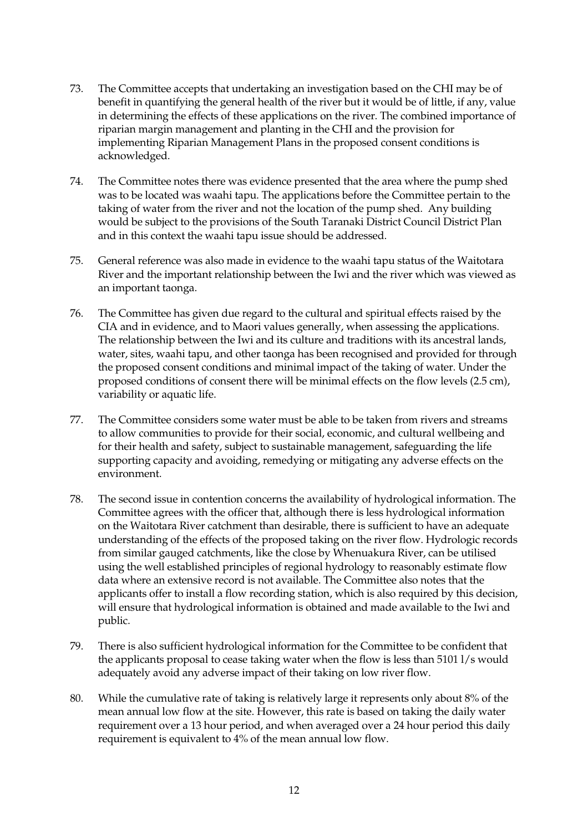- 73. The Committee accepts that undertaking an investigation based on the CHI may be of benefit in quantifying the general health of the river but it would be of little, if any, value in determining the effects of these applications on the river. The combined importance of riparian margin management and planting in the CHI and the provision for implementing Riparian Management Plans in the proposed consent conditions is acknowledged.
- 74. The Committee notes there was evidence presented that the area where the pump shed was to be located was waahi tapu. The applications before the Committee pertain to the taking of water from the river and not the location of the pump shed. Any building would be subject to the provisions of the South Taranaki District Council District Plan and in this context the waahi tapu issue should be addressed.
- 75. General reference was also made in evidence to the waahi tapu status of the Waitotara River and the important relationship between the Iwi and the river which was viewed as an important taonga.
- 76. The Committee has given due regard to the cultural and spiritual effects raised by the CIA and in evidence, and to Maori values generally, when assessing the applications. The relationship between the Iwi and its culture and traditions with its ancestral lands, water, sites, waahi tapu, and other taonga has been recognised and provided for through the proposed consent conditions and minimal impact of the taking of water. Under the proposed conditions of consent there will be minimal effects on the flow levels (2.5 cm), variability or aquatic life.
- 77. The Committee considers some water must be able to be taken from rivers and streams to allow communities to provide for their social, economic, and cultural wellbeing and for their health and safety, subject to sustainable management, safeguarding the life supporting capacity and avoiding, remedying or mitigating any adverse effects on the environment.
- 78. The second issue in contention concerns the availability of hydrological information. The Committee agrees with the officer that, although there is less hydrological information on the Waitotara River catchment than desirable, there is sufficient to have an adequate understanding of the effects of the proposed taking on the river flow. Hydrologic records from similar gauged catchments, like the close by Whenuakura River, can be utilised using the well established principles of regional hydrology to reasonably estimate flow data where an extensive record is not available. The Committee also notes that the applicants offer to install a flow recording station, which is also required by this decision, will ensure that hydrological information is obtained and made available to the Iwi and public.
- 79. There is also sufficient hydrological information for the Committee to be confident that the applicants proposal to cease taking water when the flow is less than 5101 l/s would adequately avoid any adverse impact of their taking on low river flow.
- 80. While the cumulative rate of taking is relatively large it represents only about 8% of the mean annual low flow at the site. However, this rate is based on taking the daily water requirement over a 13 hour period, and when averaged over a 24 hour period this daily requirement is equivalent to 4% of the mean annual low flow.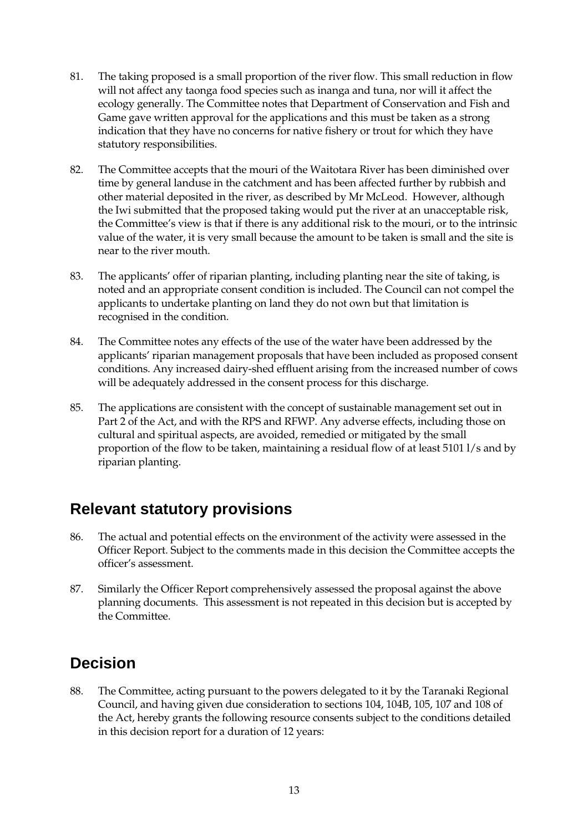- 81. The taking proposed is a small proportion of the river flow. This small reduction in flow will not affect any taonga food species such as inanga and tuna, nor will it affect the ecology generally. The Committee notes that Department of Conservation and Fish and Game gave written approval for the applications and this must be taken as a strong indication that they have no concerns for native fishery or trout for which they have statutory responsibilities.
- 82. The Committee accepts that the mouri of the Waitotara River has been diminished over time by general landuse in the catchment and has been affected further by rubbish and other material deposited in the river, as described by Mr McLeod. However, although the Iwi submitted that the proposed taking would put the river at an unacceptable risk, the Committee's view is that if there is any additional risk to the mouri, or to the intrinsic value of the water, it is very small because the amount to be taken is small and the site is near to the river mouth.
- 83. The applicants' offer of riparian planting, including planting near the site of taking, is noted and an appropriate consent condition is included. The Council can not compel the applicants to undertake planting on land they do not own but that limitation is recognised in the condition.
- 84. The Committee notes any effects of the use of the water have been addressed by the applicants' riparian management proposals that have been included as proposed consent conditions. Any increased dairy-shed effluent arising from the increased number of cows will be adequately addressed in the consent process for this discharge.
- 85. The applications are consistent with the concept of sustainable management set out in Part 2 of the Act, and with the RPS and RFWP. Any adverse effects, including those on cultural and spiritual aspects, are avoided, remedied or mitigated by the small proportion of the flow to be taken, maintaining a residual flow of at least 5101 l/s and by riparian planting.

# **Relevant statutory provisions**

- 86. The actual and potential effects on the environment of the activity were assessed in the Officer Report. Subject to the comments made in this decision the Committee accepts the officer's assessment.
- 87. Similarly the Officer Report comprehensively assessed the proposal against the above planning documents. This assessment is not repeated in this decision but is accepted by the Committee.

# **Decision**

88. The Committee, acting pursuant to the powers delegated to it by the Taranaki Regional Council, and having given due consideration to sections 104, 104B, 105, 107 and 108 of the Act, hereby grants the following resource consents subject to the conditions detailed in this decision report for a duration of 12 years: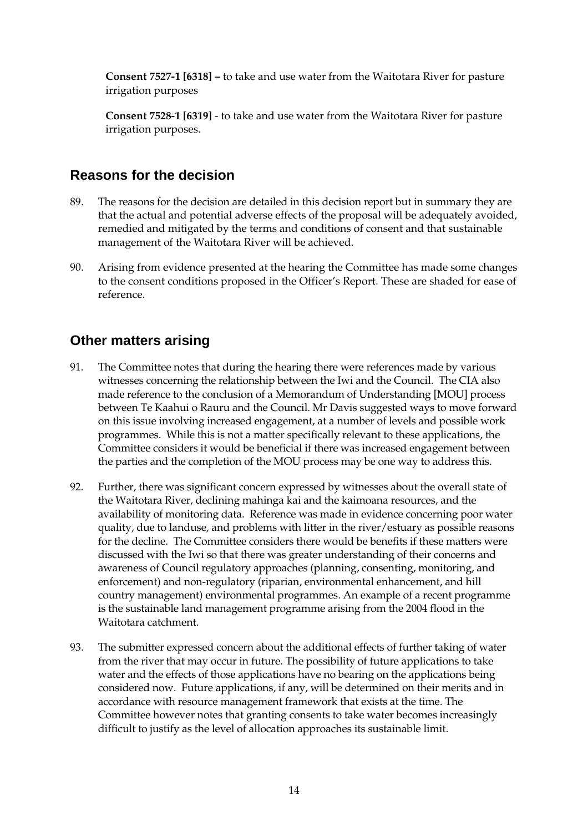**Consent 7527-1 [6318] –** to take and use water from the Waitotara River for pasture irrigation purposes

**Consent 7528-1 [6319]** - to take and use water from the Waitotara River for pasture irrigation purposes.

### **Reasons for the decision**

- 89. The reasons for the decision are detailed in this decision report but in summary they are that the actual and potential adverse effects of the proposal will be adequately avoided, remedied and mitigated by the terms and conditions of consent and that sustainable management of the Waitotara River will be achieved.
- 90. Arising from evidence presented at the hearing the Committee has made some changes to the consent conditions proposed in the Officer's Report. These are shaded for ease of reference.

### **Other matters arising**

- 91. The Committee notes that during the hearing there were references made by various witnesses concerning the relationship between the Iwi and the Council. The CIA also made reference to the conclusion of a Memorandum of Understanding [MOU] process between Te Kaahui o Rauru and the Council. Mr Davis suggested ways to move forward on this issue involving increased engagement, at a number of levels and possible work programmes. While this is not a matter specifically relevant to these applications, the Committee considers it would be beneficial if there was increased engagement between the parties and the completion of the MOU process may be one way to address this.
- 92. Further, there was significant concern expressed by witnesses about the overall state of the Waitotara River, declining mahinga kai and the kaimoana resources, and the availability of monitoring data. Reference was made in evidence concerning poor water quality, due to landuse, and problems with litter in the river/estuary as possible reasons for the decline. The Committee considers there would be benefits if these matters were discussed with the Iwi so that there was greater understanding of their concerns and awareness of Council regulatory approaches (planning, consenting, monitoring, and enforcement) and non-regulatory (riparian, environmental enhancement, and hill country management) environmental programmes. An example of a recent programme is the sustainable land management programme arising from the 2004 flood in the Waitotara catchment.
- 93. The submitter expressed concern about the additional effects of further taking of water from the river that may occur in future. The possibility of future applications to take water and the effects of those applications have no bearing on the applications being considered now. Future applications, if any, will be determined on their merits and in accordance with resource management framework that exists at the time. The Committee however notes that granting consents to take water becomes increasingly difficult to justify as the level of allocation approaches its sustainable limit.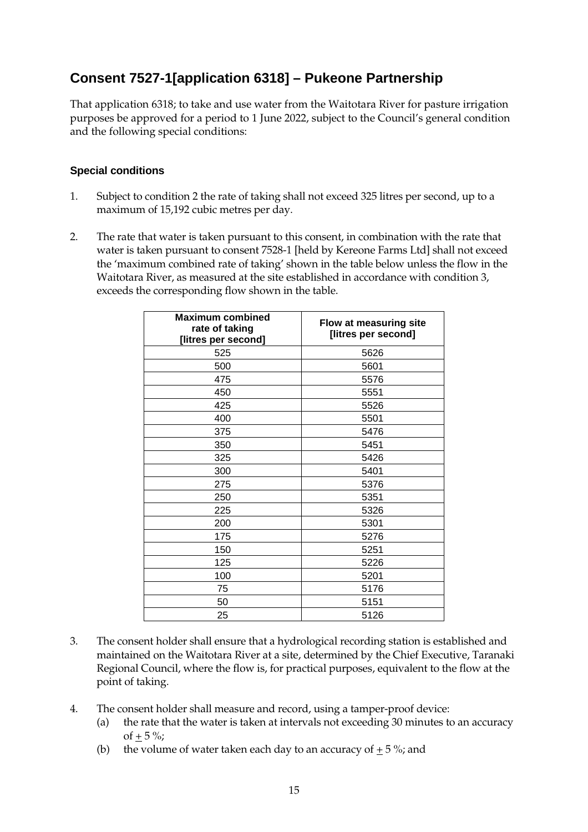### **Consent 7527-1[application 6318] – Pukeone Partnership**

That application 6318; to take and use water from the Waitotara River for pasture irrigation purposes be approved for a period to 1 June 2022, subject to the Council's general condition and the following special conditions:

#### **Special conditions**

- 1. Subject to condition 2 the rate of taking shall not exceed 325 litres per second, up to a maximum of 15,192 cubic metres per day.
- 2. The rate that water is taken pursuant to this consent, in combination with the rate that water is taken pursuant to consent 7528-1 [held by Kereone Farms Ltd] shall not exceed the 'maximum combined rate of taking' shown in the table below unless the flow in the Waitotara River, as measured at the site established in accordance with condition 3, exceeds the corresponding flow shown in the table.

| <b>Maximum combined</b><br>rate of taking<br>[litres per second] | Flow at measuring site<br>[litres per second] |
|------------------------------------------------------------------|-----------------------------------------------|
| 525                                                              | 5626                                          |
| 500                                                              | 5601                                          |
| 475                                                              | 5576                                          |
| 450                                                              | 5551                                          |
| 425                                                              | 5526                                          |
| 400                                                              | 5501                                          |
| 375                                                              | 5476                                          |
| 350                                                              | 5451                                          |
| 325                                                              | 5426                                          |
| 300                                                              | 5401                                          |
| 275                                                              | 5376                                          |
| 250                                                              | 5351                                          |
| 225                                                              | 5326                                          |
| 200                                                              | 5301                                          |
| 175                                                              | 5276                                          |
| 150                                                              | 5251                                          |
| 125                                                              | 5226                                          |
| 100                                                              | 5201                                          |
| 75                                                               | 5176                                          |
| 50                                                               | 5151                                          |
| 25                                                               | 5126                                          |

- 3. The consent holder shall ensure that a hydrological recording station is established and maintained on the Waitotara River at a site, determined by the Chief Executive, Taranaki Regional Council, where the flow is, for practical purposes, equivalent to the flow at the point of taking.
- 4. The consent holder shall measure and record, using a tamper-proof device:
	- (a) the rate that the water is taken at intervals not exceeding 30 minutes to an accuracy of  $+ 5 \%$ ;
	- (b) the volume of water taken each day to an accuracy of  $+ 5\%$ ; and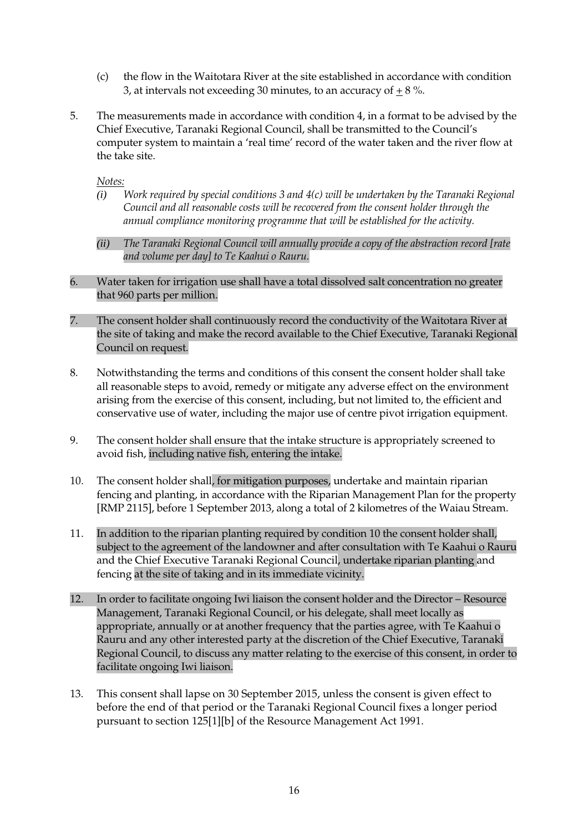- (c) the flow in the Waitotara River at the site established in accordance with condition 3, at intervals not exceeding 30 minutes, to an accuracy of  $\pm 8$  %.
- 5. The measurements made in accordance with condition 4, in a format to be advised by the Chief Executive, Taranaki Regional Council, shall be transmitted to the Council's computer system to maintain a 'real time' record of the water taken and the river flow at the take site.

*Notes:*

- *(i) Work required by special conditions 3 and 4(c) will be undertaken by the Taranaki Regional Council and all reasonable costs will be recovered from the consent holder through the annual compliance monitoring programme that will be established for the activity.*
- *(ii) The Taranaki Regional Council will annually provide a copy of the abstraction record [rate and volume per day] to Te Kaahui o Rauru.*
- 6. Water taken for irrigation use shall have a total dissolved salt concentration no greater that 960 parts per million.
- 7. The consent holder shall continuously record the conductivity of the Waitotara River at the site of taking and make the record available to the Chief Executive, Taranaki Regional Council on request.
- 8. Notwithstanding the terms and conditions of this consent the consent holder shall take all reasonable steps to avoid, remedy or mitigate any adverse effect on the environment arising from the exercise of this consent, including, but not limited to, the efficient and conservative use of water, including the major use of centre pivot irrigation equipment.
- 9. The consent holder shall ensure that the intake structure is appropriately screened to avoid fish, including native fish, entering the intake.
- 10. The consent holder shall, for mitigation purposes, undertake and maintain riparian fencing and planting, in accordance with the Riparian Management Plan for the property [RMP 2115], before 1 September 2013, along a total of 2 kilometres of the Waiau Stream.
- 11. In addition to the riparian planting required by condition 10 the consent holder shall, subject to the agreement of the landowner and after consultation with Te Kaahui o Rauru and the Chief Executive Taranaki Regional Council, undertake riparian planting and fencing at the site of taking and in its immediate vicinity.
- 12. In order to facilitate ongoing Iwi liaison the consent holder and the Director Resource Management, Taranaki Regional Council, or his delegate, shall meet locally as appropriate, annually or at another frequency that the parties agree, with Te Kaahui o Rauru and any other interested party at the discretion of the Chief Executive, Taranaki Regional Council, to discuss any matter relating to the exercise of this consent, in order to facilitate ongoing Iwi liaison.
- 13. This consent shall lapse on 30 September 2015, unless the consent is given effect to before the end of that period or the Taranaki Regional Council fixes a longer period pursuant to section 125[1][b] of the Resource Management Act 1991.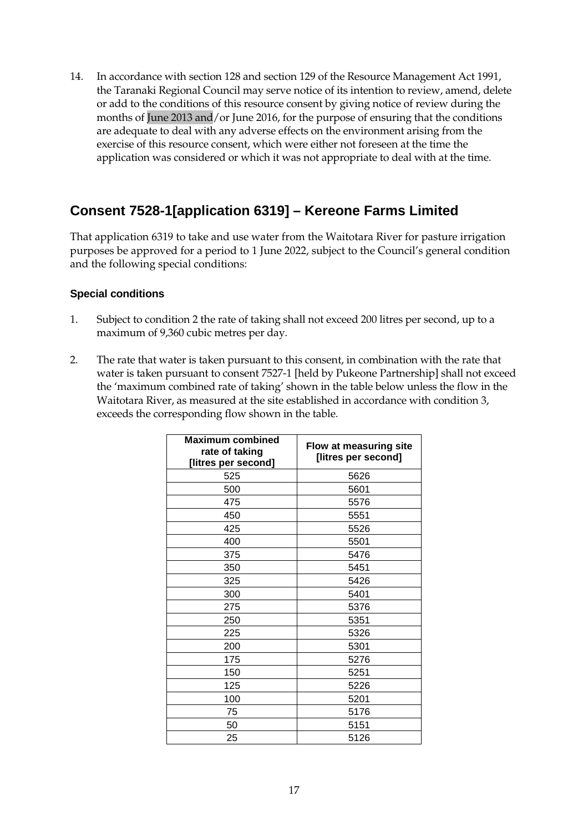14. In accordance with section 128 and section 129 of the Resource Management Act 1991, the Taranaki Regional Council may serve notice of its intention to review, amend, delete or add to the conditions of this resource consent by giving notice of review during the months of June 2013 and/or June 2016, for the purpose of ensuring that the conditions are adequate to deal with any adverse effects on the environment arising from the exercise of this resource consent, which were either not foreseen at the time the application was considered or which it was not appropriate to deal with at the time.

### **Consent 7528-1[application 6319] – Kereone Farms Limited**

That application 6319 to take and use water from the Waitotara River for pasture irrigation purposes be approved for a period to 1 June 2022, subject to the Council's general condition and the following special conditions:

#### **Special conditions**

- 1. Subject to condition 2 the rate of taking shall not exceed 200 litres per second, up to a maximum of 9,360 cubic metres per day.
- 2. The rate that water is taken pursuant to this consent, in combination with the rate that water is taken pursuant to consent 7527-1 [held by Pukeone Partnership] shall not exceed the 'maximum combined rate of taking' shown in the table below unless the flow in the Waitotara River, as measured at the site established in accordance with condition 3, exceeds the corresponding flow shown in the table.

| <b>Maximum combined</b><br>rate of taking<br>[litres per second] | Flow at measuring site<br>[litres per second] |
|------------------------------------------------------------------|-----------------------------------------------|
| 525                                                              | 5626                                          |
| 500                                                              | 5601                                          |
| 475                                                              | 5576                                          |
| 450                                                              | 5551                                          |
| 425                                                              | 5526                                          |
| 400                                                              | 5501                                          |
| 375                                                              | 5476                                          |
| 350                                                              | 5451                                          |
| 325                                                              | 5426                                          |
| 300                                                              | 5401                                          |
| 275                                                              | 5376                                          |
| 250                                                              | 5351                                          |
| 225                                                              | 5326                                          |
| 200                                                              | 5301                                          |
| 175                                                              | 5276                                          |
| 150                                                              | 5251                                          |
| 125                                                              | 5226                                          |
| 100                                                              | 5201                                          |
| 75                                                               | 5176                                          |
| 50                                                               | 5151                                          |
| 25                                                               | 5126                                          |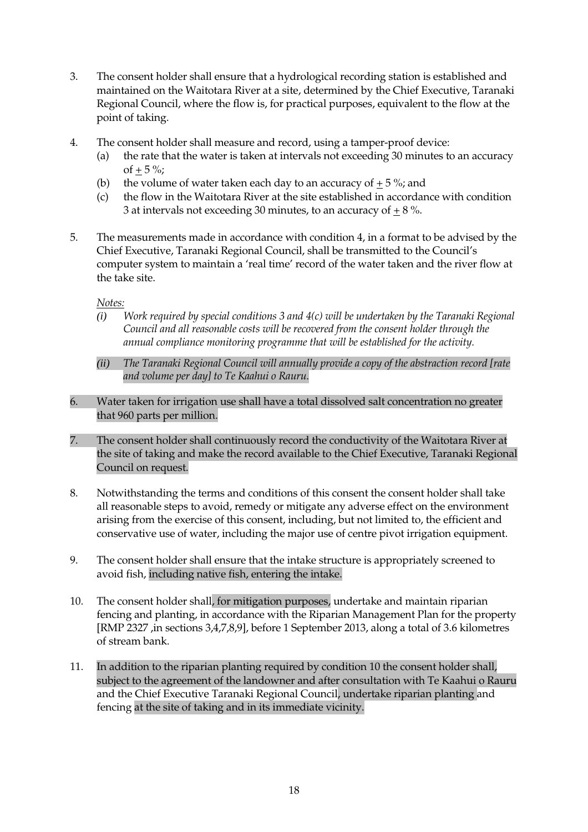- 3. The consent holder shall ensure that a hydrological recording station is established and maintained on the Waitotara River at a site, determined by the Chief Executive, Taranaki Regional Council, where the flow is, for practical purposes, equivalent to the flow at the point of taking.
- 4. The consent holder shall measure and record, using a tamper-proof device:
	- (a) the rate that the water is taken at intervals not exceeding 30 minutes to an accuracy of  $+ 5 \%$ ;
	- (b) the volume of water taken each day to an accuracy of  $+ 5\%$ ; and
	- (c) the flow in the Waitotara River at the site established in accordance with condition 3 at intervals not exceeding 30 minutes, to an accuracy of  $+8$ %.
- 5. The measurements made in accordance with condition 4, in a format to be advised by the Chief Executive, Taranaki Regional Council, shall be transmitted to the Council's computer system to maintain a 'real time' record of the water taken and the river flow at the take site.

#### *Notes:*

- *(i) Work required by special conditions 3 and 4(c) will be undertaken by the Taranaki Regional Council and all reasonable costs will be recovered from the consent holder through the annual compliance monitoring programme that will be established for the activity.*
- *(ii) The Taranaki Regional Council will annually provide a copy of the abstraction record [rate and volume per day] to Te Kaahui o Rauru.*
- 6. Water taken for irrigation use shall have a total dissolved salt concentration no greater that 960 parts per million.
- 7. The consent holder shall continuously record the conductivity of the Waitotara River at the site of taking and make the record available to the Chief Executive, Taranaki Regional Council on request.
- 8. Notwithstanding the terms and conditions of this consent the consent holder shall take all reasonable steps to avoid, remedy or mitigate any adverse effect on the environment arising from the exercise of this consent, including, but not limited to, the efficient and conservative use of water, including the major use of centre pivot irrigation equipment.
- 9. The consent holder shall ensure that the intake structure is appropriately screened to avoid fish, including native fish, entering the intake.
- 10. The consent holder shall, for mitigation purposes, undertake and maintain riparian fencing and planting, in accordance with the Riparian Management Plan for the property [RMP 2327 ,in sections 3,4,7,8,9], before 1 September 2013, along a total of 3.6 kilometres of stream bank.
- 11. In addition to the riparian planting required by condition 10 the consent holder shall, subject to the agreement of the landowner and after consultation with Te Kaahui o Rauru and the Chief Executive Taranaki Regional Council, undertake riparian planting and fencing at the site of taking and in its immediate vicinity.